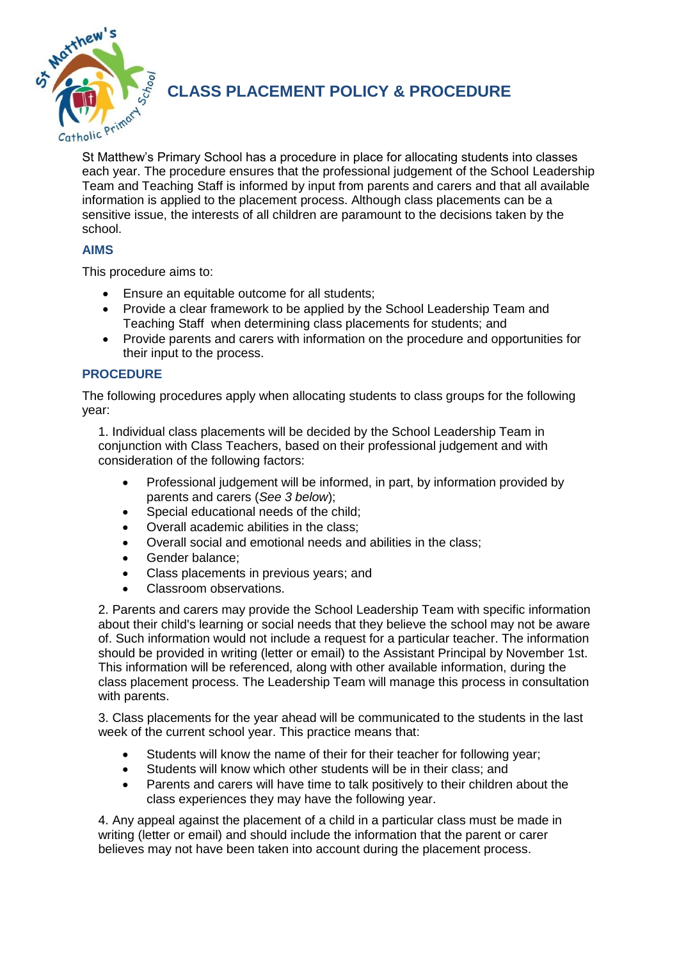

**CLASS PLACEMENT POLICY & PROCEDURE** 

St Matthew's Primary School has a procedure in place for allocating students into classes each year. The procedure ensures that the professional judgement of the School Leadership Team and Teaching Staff is informed by input from parents and carers and that all available information is applied to the placement process. Although class placements can be a sensitive issue, the interests of all children are paramount to the decisions taken by the school.

## **AIMS**

This procedure aims to:

- Ensure an equitable outcome for all students;
- Provide a clear framework to be applied by the School Leadership Team and Teaching Staff when determining class placements for students; and
- Provide parents and carers with information on the procedure and opportunities for their input to the process.

## **PROCEDURE**

The following procedures apply when allocating students to class groups for the following year:

1. Individual class placements will be decided by the School Leadership Team in conjunction with Class Teachers, based on their professional judgement and with consideration of the following factors:

- Professional judgement will be informed, in part, by information provided by parents and carers (*See 3 below*);
- Special educational needs of the child;
- Overall academic abilities in the class;
- Overall social and emotional needs and abilities in the class;
- Gender balance;
- Class placements in previous years; and
- Classroom observations.

2. Parents and carers may provide the School Leadership Team with specific information about their child's learning or social needs that they believe the school may not be aware of. Such information would not include a request for a particular teacher. The information should be provided in writing (letter or email) to the Assistant Principal by November 1st. This information will be referenced, along with other available information, during the class placement process. The Leadership Team will manage this process in consultation with parents.

3. Class placements for the year ahead will be communicated to the students in the last week of the current school year. This practice means that:

- Students will know the name of their for their teacher for following year;
- Students will know which other students will be in their class; and
- Parents and carers will have time to talk positively to their children about the class experiences they may have the following year.

4. Any appeal against the placement of a child in a particular class must be made in writing (letter or email) and should include the information that the parent or carer believes may not have been taken into account during the placement process.